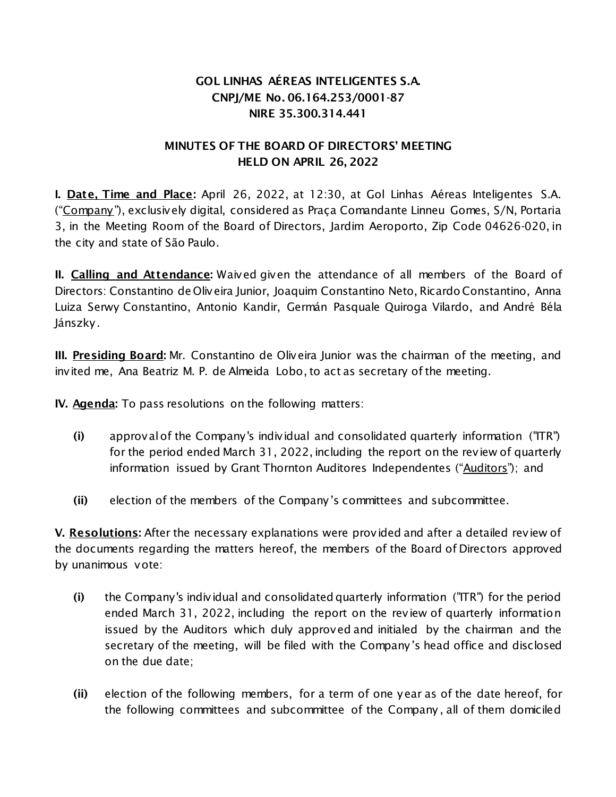# **GOL LINHAS AÉREAS INTELIGENTES S.A. CNPJ/ME No. 06.164.253/0001-87 NIRE 35.300.314.441**

### **MINUTES OF THE BOARD OF DIRECTORS' MEETING HELD ON APRIL 26, 2022**

**I. Date, Time and Place:** April 26, 2022, at 12:30, at Gol Linhas Aéreas Inteligentes S.A. ("Company "), exclusively digital, considered as Praça Comandante Linneu Gomes, S/N, Portaria 3, in the Meeting Room of the Board of Directors, Jardim Aeroporto, Zip Code 04626-020, in the city and state of São Paulo.

**II. Calling and Attendance:** Waived given the attendance of all members of the Board of Directors: Constantino de Oliveira Junior, Joaquim Constantino Neto, Ricardo Constantino, Anna Luiza Serwy Constantino, Antonio Kandir, Germán Pasquale Quiroga Vilardo, and André Béla Jánszky.

**III. Presiding Board:** Mr. Constantino de Oliveira Junior was the chairman of the meeting, and invited me, Ana Beatriz M. P. de Almeida Lobo, to act as secretary of the meeting.

**IV. Agenda:** To pass resolutions on the following matters:

- **(i)** approval of the Company's individual and consolidated quarterly information ("ITR") for the period ended March 31, 2022, including the report on the review of quarterly information issued by Grant Thornton Auditores Independentes ("Auditors"); and
- **(ii)** election of the members of the Company's committees and subcommittee.

**V. Resolutions:** After the necessary explanations were provided and after a detailed review of the documents regarding the matters hereof, the members of the Board of Directors approved by unanimous vote:

- **(i)** the Company's individual and consolidated quarterly information ("ITR") for the period ended March 31, 2022, including the report on the review of quarterly information issued by the Auditors which duly approved and initialed by the chairman and the secretary of the meeting, will be filed with the Company's head office and disclosed on the due date;
- **(ii)** election of the following members, for a term of one year as of the date hereof, for the following committees and subcommittee of the Company , all of them domiciled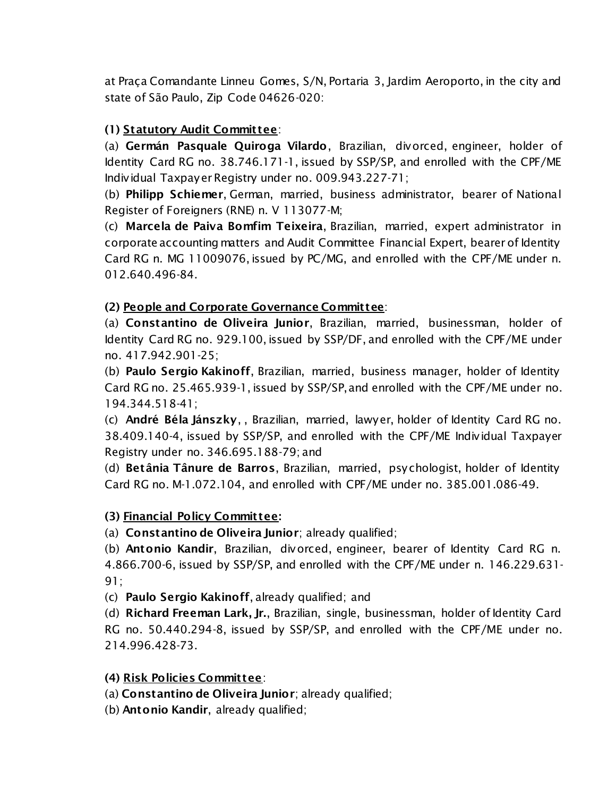at Praça Comandante Linneu Gomes, S/N, Portaria 3, Jardim Aeroporto, in the city and state of São Paulo, Zip Code 04626-020:

## **(1) Statutory Audit Committee**:

(a) **Germán Pasquale Quiroga Vilardo**, Brazilian, divorced, engineer, holder of Identity Card RG no. 38.746.171-1, issued by SSP/SP, and enrolled with the CPF/ME Individual Taxpayer Registry under no. 009.943.227-71;

(b) **Philipp Schiemer**, German, married, business administrator, bearer of National Register of Foreigners (RNE) n. V 113077-M;

(c) **Marcela de Paiva Bomfim Teixeira**, Brazilian, married, expert administrator in corporate accounting matters and Audit Committee Financial Expert, bearer of Identity Card RG n. MG 11009076, issued by PC/MG, and enrolled with the CPF/ME under n. 012.640.496-84.

### **(2) People and Corporate Governance Committee**:

(a) **Constantino de Oliveira Junior**, Brazilian, married, businessman, holder of Identity Card RG no. 929.100, issued by SSP/DF, and enrolled with the CPF/ME under no. 417.942.901-25;

(b) **Paulo Sergio Kakinoff**, Brazilian, married, business manager, holder of Identity Card RG no. 25.465.939-1, issued by SSP/SP, and enrolled with the CPF/ME under no. 194.344.518-41;

(c) **André Béla Jánszky**, , Brazilian, married, lawyer, holder of Identity Card RG no. 38.409.140-4, issued by SSP/SP, and enrolled with the CPF/ME Individual Taxpayer Registry under no. 346.695.188-79; and

(d) **Betânia Tânure de Barros**, Brazilian, married, psychologist, holder of Identity Card RG no. M-1.072.104, and enrolled with CPF/ME under no. 385.001.086-49.

### **(3) Financial Policy Committee:**

(a) **Constantino de Oliveira Junior**; already qualified;

(b) **Antonio Kandir**, Brazilian, divorced, engineer, bearer of Identity Card RG n. 4.866.700-6, issued by SSP/SP, and enrolled with the CPF/ME under n. 146.229.631- 91;

(c) **Paulo Sergio Kakinoff**, already qualified; and

(d) **Richard Freeman Lark, Jr.**, Brazilian, single, businessman, holder of Identity Card RG no. 50.440.294-8, issued by SSP/SP, and enrolled with the CPF/ME under no. 214.996.428-73.

### **(4) Risk Policies Committee**:

(a) **Constantino de Oliveira Junior**; already qualified;

(b) **Antonio Kandir**, already qualified;